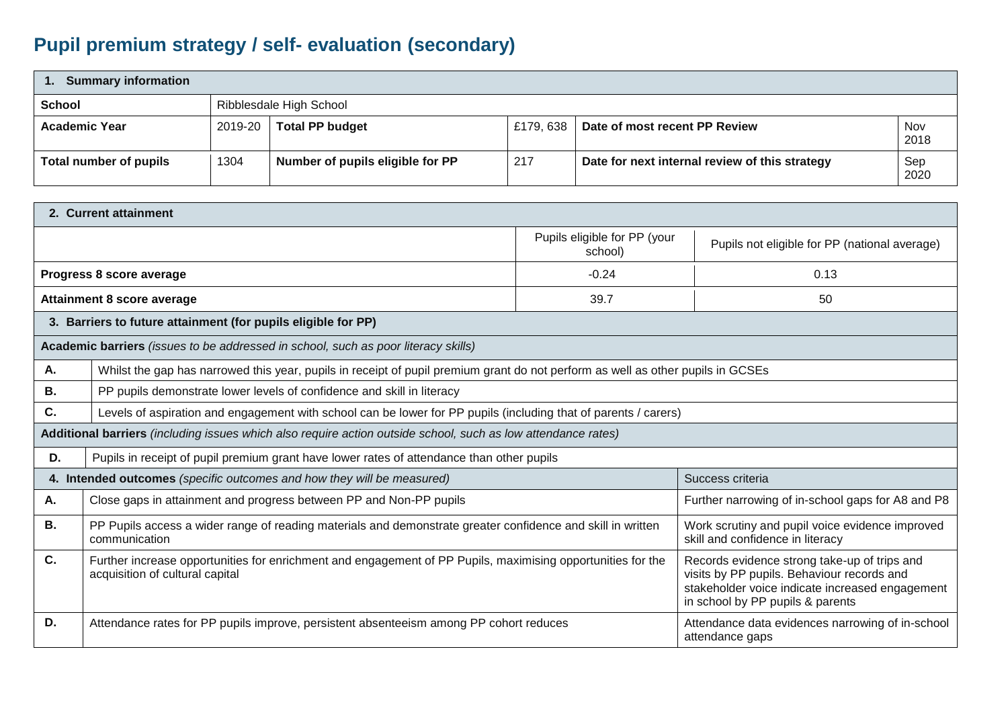## **Pupil premium strategy / self- evaluation (secondary)**

| <b>Summary information</b> |         |                                  |           |                                                |                    |  |  |
|----------------------------|---------|----------------------------------|-----------|------------------------------------------------|--------------------|--|--|
| <b>School</b>              |         | Ribblesdale High School          |           |                                                |                    |  |  |
| <b>Academic Year</b>       | 2019-20 | <b>Total PP budget</b>           | £179, 638 | Date of most recent PP Review                  | <b>Nov</b><br>2018 |  |  |
| Total number of pupils     | 1304    | Number of pupils eligible for PP | 217       | Date for next internal review of this strategy | Sep<br>2020        |  |  |

|    | 2. Current attainment                                                                                                                          |                                         |                                                                                                                                                                                   |  |  |  |
|----|------------------------------------------------------------------------------------------------------------------------------------------------|-----------------------------------------|-----------------------------------------------------------------------------------------------------------------------------------------------------------------------------------|--|--|--|
|    |                                                                                                                                                | Pupils eligible for PP (your<br>school) | Pupils not eligible for PP (national average)                                                                                                                                     |  |  |  |
|    | Progress 8 score average                                                                                                                       | $-0.24$                                 | 0.13                                                                                                                                                                              |  |  |  |
|    | <b>Attainment 8 score average</b>                                                                                                              | 39.7                                    | 50                                                                                                                                                                                |  |  |  |
|    | 3. Barriers to future attainment (for pupils eligible for PP)                                                                                  |                                         |                                                                                                                                                                                   |  |  |  |
|    | Academic barriers (issues to be addressed in school, such as poor literacy skills)                                                             |                                         |                                                                                                                                                                                   |  |  |  |
| Α. | Whilst the gap has narrowed this year, pupils in receipt of pupil premium grant do not perform as well as other pupils in GCSEs                |                                         |                                                                                                                                                                                   |  |  |  |
| В. | PP pupils demonstrate lower levels of confidence and skill in literacy                                                                         |                                         |                                                                                                                                                                                   |  |  |  |
| C. | Levels of aspiration and engagement with school can be lower for PP pupils (including that of parents / carers)                                |                                         |                                                                                                                                                                                   |  |  |  |
|    | Additional barriers (including issues which also require action outside school, such as low attendance rates)                                  |                                         |                                                                                                                                                                                   |  |  |  |
| D. | Pupils in receipt of pupil premium grant have lower rates of attendance than other pupils                                                      |                                         |                                                                                                                                                                                   |  |  |  |
|    | 4. Intended outcomes (specific outcomes and how they will be measured)                                                                         |                                         | Success criteria                                                                                                                                                                  |  |  |  |
| Α. | Close gaps in attainment and progress between PP and Non-PP pupils                                                                             |                                         | Further narrowing of in-school gaps for A8 and P8                                                                                                                                 |  |  |  |
| В. | PP Pupils access a wider range of reading materials and demonstrate greater confidence and skill in written<br>communication                   |                                         | Work scrutiny and pupil voice evidence improved<br>skill and confidence in literacy                                                                                               |  |  |  |
| C. | Further increase opportunities for enrichment and engagement of PP Pupils, maximising opportunities for the<br>acquisition of cultural capital |                                         | Records evidence strong take-up of trips and<br>visits by PP pupils. Behaviour records and<br>stakeholder voice indicate increased engagement<br>in school by PP pupils & parents |  |  |  |
| D. | Attendance rates for PP pupils improve, persistent absenteeism among PP cohort reduces                                                         |                                         | Attendance data evidences narrowing of in-school<br>attendance gaps                                                                                                               |  |  |  |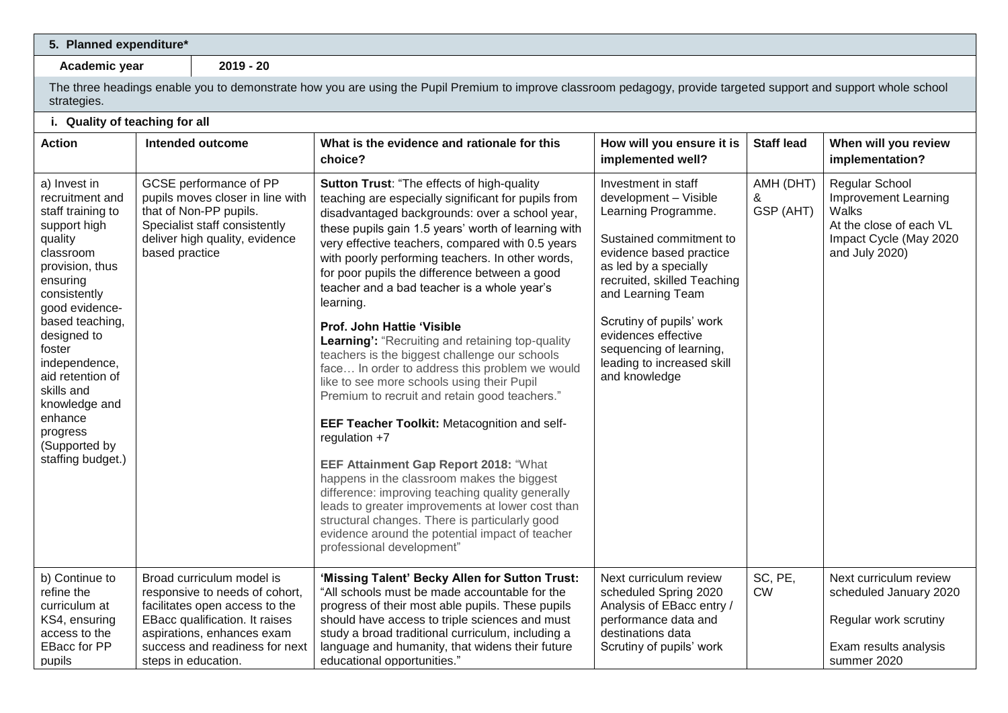## **5. Planned expenditure\***

**Academic year 2019 - 20**

| strategies.                                                                                                                                                                                                                                                                                                                                |                                                                                                                                                                                                                        | The three headings enable you to demonstrate how you are using the Pupil Premium to improve classroom pedagogy, provide targeted support and support whole school                                                                                                                                                                                                                                                                                                                                                                                                                                                                                                                                                                                                                                                                                                                                                                                                                                                                                                                                                              |                                                                                                                                                                                                                                                                                                                                     |                             |                                                                                                                               |
|--------------------------------------------------------------------------------------------------------------------------------------------------------------------------------------------------------------------------------------------------------------------------------------------------------------------------------------------|------------------------------------------------------------------------------------------------------------------------------------------------------------------------------------------------------------------------|--------------------------------------------------------------------------------------------------------------------------------------------------------------------------------------------------------------------------------------------------------------------------------------------------------------------------------------------------------------------------------------------------------------------------------------------------------------------------------------------------------------------------------------------------------------------------------------------------------------------------------------------------------------------------------------------------------------------------------------------------------------------------------------------------------------------------------------------------------------------------------------------------------------------------------------------------------------------------------------------------------------------------------------------------------------------------------------------------------------------------------|-------------------------------------------------------------------------------------------------------------------------------------------------------------------------------------------------------------------------------------------------------------------------------------------------------------------------------------|-----------------------------|-------------------------------------------------------------------------------------------------------------------------------|
| i. Quality of teaching for all                                                                                                                                                                                                                                                                                                             |                                                                                                                                                                                                                        |                                                                                                                                                                                                                                                                                                                                                                                                                                                                                                                                                                                                                                                                                                                                                                                                                                                                                                                                                                                                                                                                                                                                |                                                                                                                                                                                                                                                                                                                                     |                             |                                                                                                                               |
| <b>Action</b>                                                                                                                                                                                                                                                                                                                              | Intended outcome                                                                                                                                                                                                       | What is the evidence and rationale for this<br>choice?                                                                                                                                                                                                                                                                                                                                                                                                                                                                                                                                                                                                                                                                                                                                                                                                                                                                                                                                                                                                                                                                         | How will you ensure it is<br>implemented well?                                                                                                                                                                                                                                                                                      | <b>Staff lead</b>           | When will you review<br>implementation?                                                                                       |
| a) Invest in<br>recruitment and<br>staff training to<br>support high<br>quality<br>classroom<br>provision, thus<br>ensuring<br>consistently<br>good evidence-<br>based teaching,<br>designed to<br>foster<br>independence,<br>aid retention of<br>skills and<br>knowledge and<br>enhance<br>progress<br>(Supported by<br>staffing budget.) | GCSE performance of PP<br>pupils moves closer in line with<br>that of Non-PP pupils.<br>Specialist staff consistently<br>deliver high quality, evidence<br>based practice                                              | Sutton Trust: "The effects of high-quality<br>teaching are especially significant for pupils from<br>disadvantaged backgrounds: over a school year,<br>these pupils gain 1.5 years' worth of learning with<br>very effective teachers, compared with 0.5 years<br>with poorly performing teachers. In other words,<br>for poor pupils the difference between a good<br>teacher and a bad teacher is a whole year's<br>learning.<br>Prof. John Hattie 'Visible<br>Learning': "Recruiting and retaining top-quality<br>teachers is the biggest challenge our schools<br>face In order to address this problem we would<br>like to see more schools using their Pupil<br>Premium to recruit and retain good teachers."<br>EEF Teacher Toolkit: Metacognition and self-<br>regulation $+7$<br><b>EEF Attainment Gap Report 2018: "What</b><br>happens in the classroom makes the biggest<br>difference: improving teaching quality generally<br>leads to greater improvements at lower cost than<br>structural changes. There is particularly good<br>evidence around the potential impact of teacher<br>professional development" | Investment in staff<br>development - Visible<br>Learning Programme.<br>Sustained commitment to<br>evidence based practice<br>as led by a specially<br>recruited, skilled Teaching<br>and Learning Team<br>Scrutiny of pupils' work<br>evidences effective<br>sequencing of learning,<br>leading to increased skill<br>and knowledge | AMH (DHT)<br>&<br>GSP (AHT) | <b>Regular School</b><br>Improvement Learning<br>Walks<br>At the close of each VL<br>Impact Cycle (May 2020<br>and July 2020) |
| b) Continue to<br>refine the<br>curriculum at<br>KS4, ensuring<br>access to the<br><b>EBacc for PP</b><br>pupils                                                                                                                                                                                                                           | Broad curriculum model is<br>responsive to needs of cohort,<br>facilitates open access to the<br>EBacc qualification. It raises<br>aspirations, enhances exam<br>success and readiness for next<br>steps in education. | 'Missing Talent' Becky Allen for Sutton Trust:<br>"All schools must be made accountable for the<br>progress of their most able pupils. These pupils<br>should have access to triple sciences and must<br>study a broad traditional curriculum, including a<br>language and humanity, that widens their future<br>educational opportunities."                                                                                                                                                                                                                                                                                                                                                                                                                                                                                                                                                                                                                                                                                                                                                                                   | Next curriculum review<br>scheduled Spring 2020<br>Analysis of EBacc entry /<br>performance data and<br>destinations data<br>Scrutiny of pupils' work                                                                                                                                                                               | SC, PE,<br><b>CW</b>        | Next curriculum review<br>scheduled January 2020<br>Regular work scrutiny<br>Exam results analysis<br>summer 2020             |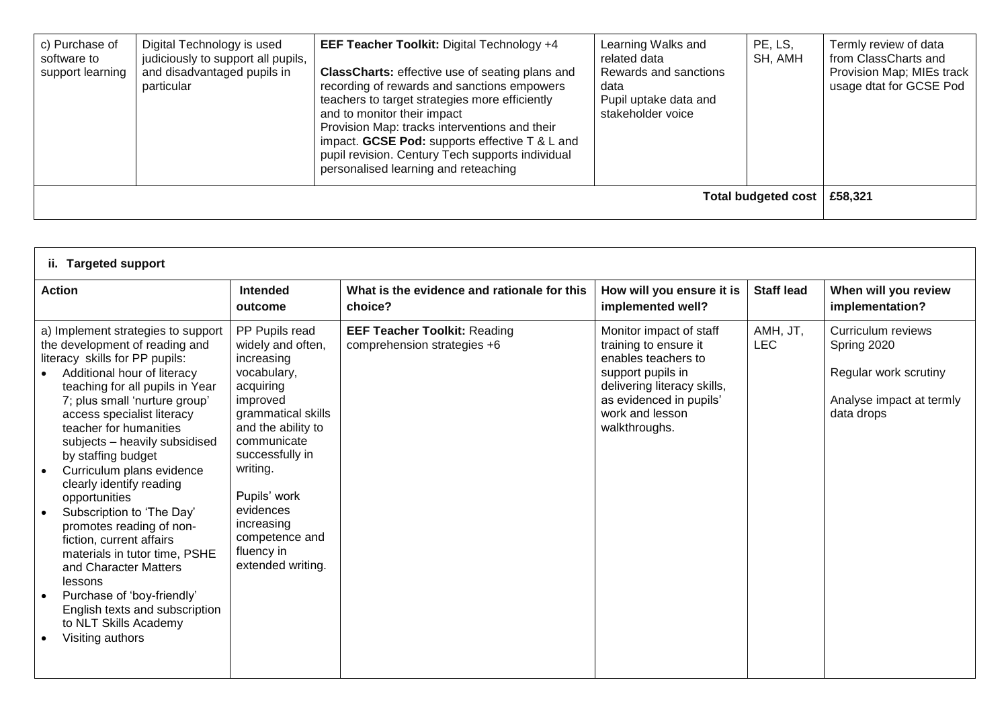| c) Purchase of<br>software to<br>support learning | Digital Technology is used<br>judiciously to support all pupils,<br>and disadvantaged pupils in<br>particular | <b>EEF Teacher Toolkit: Digital Technology +4</b><br><b>ClassCharts:</b> effective use of seating plans and<br>recording of rewards and sanctions empowers<br>teachers to target strategies more efficiently<br>and to monitor their impact<br>Provision Map: tracks interventions and their<br>impact. GCSE Pod: supports effective $T < L$ and<br>pupil revision. Century Tech supports individual<br>personalised learning and reteaching | Learning Walks and<br>related data<br>Rewards and sanctions<br>data<br>Pupil uptake data and<br>stakeholder voice | PE, LS,<br>SH, AMH         | Termly review of data<br>from ClassCharts and<br>Provision Map; MIEs track<br>usage dtat for GCSE Pod |
|---------------------------------------------------|---------------------------------------------------------------------------------------------------------------|----------------------------------------------------------------------------------------------------------------------------------------------------------------------------------------------------------------------------------------------------------------------------------------------------------------------------------------------------------------------------------------------------------------------------------------------|-------------------------------------------------------------------------------------------------------------------|----------------------------|-------------------------------------------------------------------------------------------------------|
|                                                   |                                                                                                               |                                                                                                                                                                                                                                                                                                                                                                                                                                              |                                                                                                                   | <b>Total budgeted cost</b> | £58,321                                                                                               |

| ii. Targeted support                                                                                                                                                                                                                                                                                                                                                                                                                                                                                                                                                                                                                                                      |                                                                                                                                                                                                                                                                                     |                                                                    |                                                                                                                                                                                            |                        |                                                                                                      |
|---------------------------------------------------------------------------------------------------------------------------------------------------------------------------------------------------------------------------------------------------------------------------------------------------------------------------------------------------------------------------------------------------------------------------------------------------------------------------------------------------------------------------------------------------------------------------------------------------------------------------------------------------------------------------|-------------------------------------------------------------------------------------------------------------------------------------------------------------------------------------------------------------------------------------------------------------------------------------|--------------------------------------------------------------------|--------------------------------------------------------------------------------------------------------------------------------------------------------------------------------------------|------------------------|------------------------------------------------------------------------------------------------------|
| <b>Action</b>                                                                                                                                                                                                                                                                                                                                                                                                                                                                                                                                                                                                                                                             | <b>Intended</b><br>outcome                                                                                                                                                                                                                                                          | What is the evidence and rationale for this<br>choice?             | How will you ensure it is<br>implemented well?                                                                                                                                             | <b>Staff lead</b>      | When will you review<br>implementation?                                                              |
| a) Implement strategies to support<br>the development of reading and<br>literacy skills for PP pupils:<br>Additional hour of literacy<br>teaching for all pupils in Year<br>7; plus small 'nurture group'<br>access specialist literacy<br>teacher for humanities<br>subjects - heavily subsidised<br>by staffing budget<br>Curriculum plans evidence<br>clearly identify reading<br>opportunities<br>Subscription to 'The Day'<br>promotes reading of non-<br>fiction, current affairs<br>materials in tutor time, PSHE<br>and Character Matters<br>lessons<br>Purchase of 'boy-friendly'<br>English texts and subscription<br>to NLT Skills Academy<br>Visiting authors | PP Pupils read<br>widely and often,<br>increasing<br>vocabulary,<br>acquiring<br>improved<br>grammatical skills<br>and the ability to<br>communicate<br>successfully in<br>writing.<br>Pupils' work<br>evidences<br>increasing<br>competence and<br>fluency in<br>extended writing. | <b>EEF Teacher Toolkit: Reading</b><br>comprehension strategies +6 | Monitor impact of staff<br>training to ensure it<br>enables teachers to<br>support pupils in<br>delivering literacy skills,<br>as evidenced in pupils'<br>work and lesson<br>walkthroughs. | AMH, JT,<br><b>LEC</b> | Curriculum reviews<br>Spring 2020<br>Regular work scrutiny<br>Analyse impact at termly<br>data drops |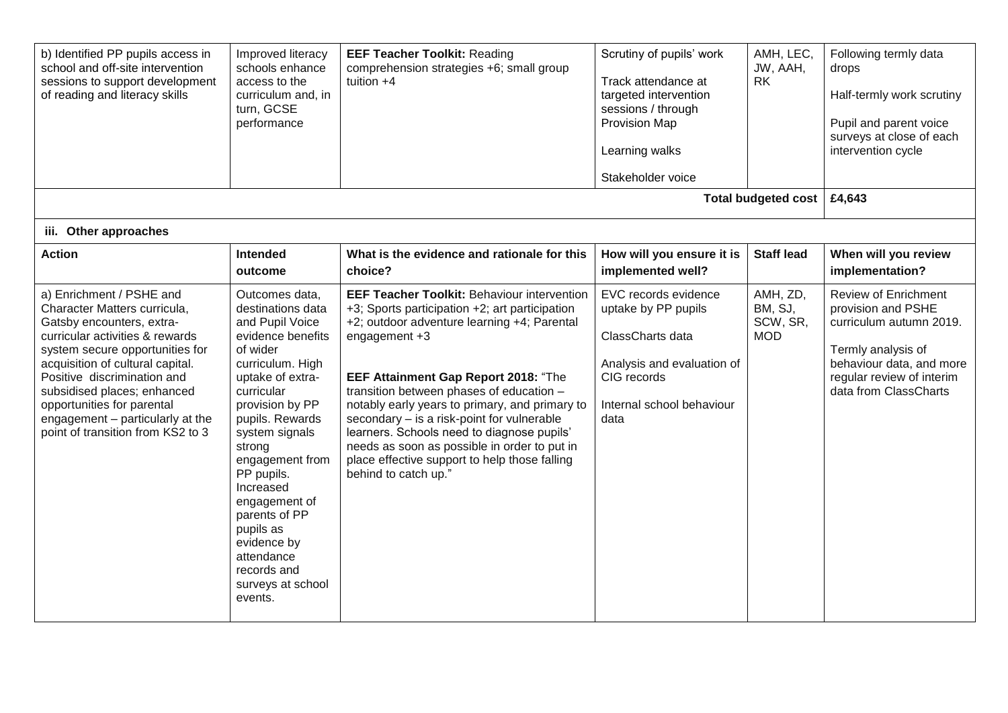| b) Identified PP pupils access in<br>school and off-site intervention<br>sessions to support development<br>of reading and literacy skills                                                                                                                                                                                                                           | Improved literacy<br>schools enhance<br>access to the<br>curriculum and, in<br>turn, GCSE<br>performance                                                                                                                                                                                                                                                                                 | <b>EEF Teacher Toolkit: Reading</b><br>comprehension strategies +6; small group<br>tuition $+4$                                                                                                                                                                                                                                                                                                                                                                                                                                 | Scrutiny of pupils' work<br>Track attendance at<br>targeted intervention<br>sessions / through<br>Provision Map<br>Learning walks<br>Stakeholder voice | AMH, LEC,<br>JW, AAH,<br><b>RK</b><br><b>Total budgeted cost</b> | Following termly data<br>drops<br>Half-termly work scrutiny<br>Pupil and parent voice<br>surveys at close of each<br>intervention cycle<br>£4,643                                    |
|----------------------------------------------------------------------------------------------------------------------------------------------------------------------------------------------------------------------------------------------------------------------------------------------------------------------------------------------------------------------|------------------------------------------------------------------------------------------------------------------------------------------------------------------------------------------------------------------------------------------------------------------------------------------------------------------------------------------------------------------------------------------|---------------------------------------------------------------------------------------------------------------------------------------------------------------------------------------------------------------------------------------------------------------------------------------------------------------------------------------------------------------------------------------------------------------------------------------------------------------------------------------------------------------------------------|--------------------------------------------------------------------------------------------------------------------------------------------------------|------------------------------------------------------------------|--------------------------------------------------------------------------------------------------------------------------------------------------------------------------------------|
| iii. Other approaches                                                                                                                                                                                                                                                                                                                                                |                                                                                                                                                                                                                                                                                                                                                                                          |                                                                                                                                                                                                                                                                                                                                                                                                                                                                                                                                 |                                                                                                                                                        |                                                                  |                                                                                                                                                                                      |
| <b>Action</b>                                                                                                                                                                                                                                                                                                                                                        | <b>Intended</b><br>outcome                                                                                                                                                                                                                                                                                                                                                               | What is the evidence and rationale for this<br>choice?                                                                                                                                                                                                                                                                                                                                                                                                                                                                          | How will you ensure it is<br>implemented well?                                                                                                         | <b>Staff lead</b>                                                | When will you review<br>implementation?                                                                                                                                              |
| a) Enrichment / PSHE and<br>Character Matters curricula,<br>Gatsby encounters, extra-<br>curricular activities & rewards<br>system secure opportunities for<br>acquisition of cultural capital.<br>Positive discrimination and<br>subsidised places; enhanced<br>opportunities for parental<br>engagement - particularly at the<br>point of transition from KS2 to 3 | Outcomes data,<br>destinations data<br>and Pupil Voice<br>evidence benefits<br>of wider<br>curriculum. High<br>uptake of extra-<br>curricular<br>provision by PP<br>pupils. Rewards<br>system signals<br>strong<br>engagement from<br>PP pupils.<br>Increased<br>engagement of<br>parents of PP<br>pupils as<br>evidence by<br>attendance<br>records and<br>surveys at school<br>events. | <b>EEF Teacher Toolkit: Behaviour intervention</b><br>+3; Sports participation +2; art participation<br>+2; outdoor adventure learning +4; Parental<br>engagement +3<br>EEF Attainment Gap Report 2018: "The<br>transition between phases of education -<br>notably early years to primary, and primary to<br>secondary - is a risk-point for vulnerable<br>learners. Schools need to diagnose pupils'<br>needs as soon as possible in order to put in<br>place effective support to help those falling<br>behind to catch up." | EVC records evidence<br>uptake by PP pupils<br>ClassCharts data<br>Analysis and evaluation of<br>CIG records<br>Internal school behaviour<br>data      | AMH, ZD,<br>BM, SJ,<br>SCW, SR,<br><b>MOD</b>                    | <b>Review of Enrichment</b><br>provision and PSHE<br>curriculum autumn 2019.<br>Termly analysis of<br>behaviour data, and more<br>regular review of interim<br>data from ClassCharts |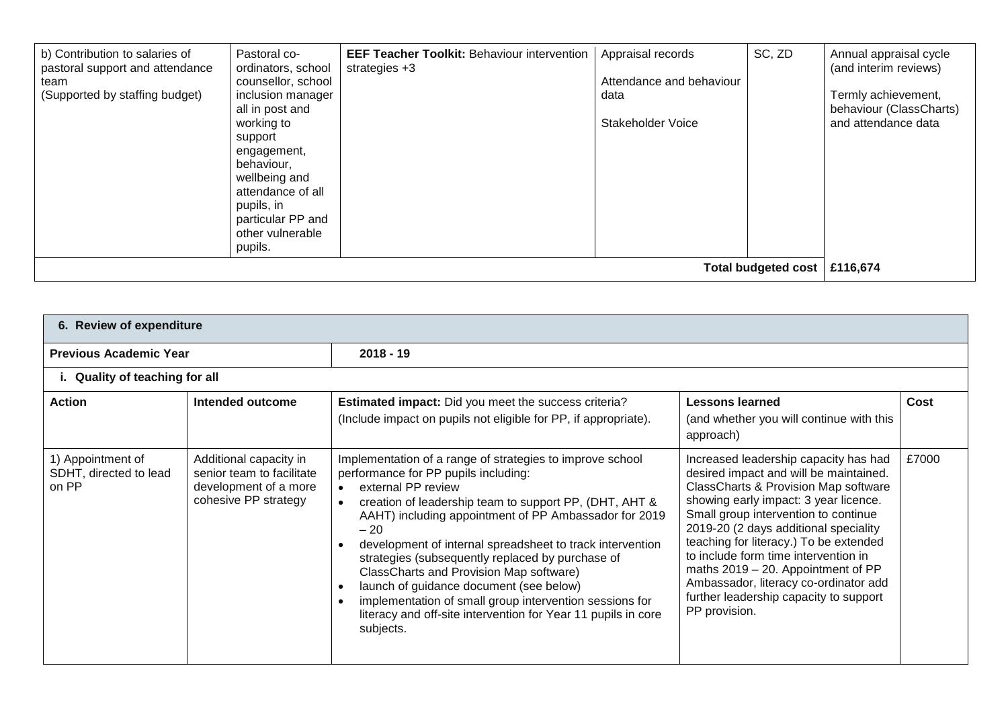| b) Contribution to salaries of<br>pastoral support and attendance<br>team<br>(Supported by staffing budget) | Pastoral co-<br>ordinators, school<br>counsellor, school<br>inclusion manager<br>all in post and<br>working to<br>support<br>engagement,<br>behaviour,<br>wellbeing and<br>attendance of all<br>pupils, in<br>particular PP and<br>other vulnerable<br>pupils. | <b>EEF Teacher Toolkit: Behaviour intervention</b><br>strategies $+3$ | Appraisal records<br>Attendance and behaviour<br>data<br><b>Stakeholder Voice</b> | SC, ZD                     | Annual appraisal cycle<br>(and interim reviews)<br>Termly achievement,<br>behaviour (ClassCharts)<br>and attendance data |
|-------------------------------------------------------------------------------------------------------------|----------------------------------------------------------------------------------------------------------------------------------------------------------------------------------------------------------------------------------------------------------------|-----------------------------------------------------------------------|-----------------------------------------------------------------------------------|----------------------------|--------------------------------------------------------------------------------------------------------------------------|
|                                                                                                             |                                                                                                                                                                                                                                                                |                                                                       |                                                                                   | <b>Total budgeted cost</b> | £116,674                                                                                                                 |

| 6. Review of expenditure                             |                                                                                                      |                                                                                                                                                                                                                                                                                                                                                                                                                                                                                                                                                                                                                               |                                                                                                                                                                                                                                                                                                                                                                                                                                                                                          |       |  |  |  |
|------------------------------------------------------|------------------------------------------------------------------------------------------------------|-------------------------------------------------------------------------------------------------------------------------------------------------------------------------------------------------------------------------------------------------------------------------------------------------------------------------------------------------------------------------------------------------------------------------------------------------------------------------------------------------------------------------------------------------------------------------------------------------------------------------------|------------------------------------------------------------------------------------------------------------------------------------------------------------------------------------------------------------------------------------------------------------------------------------------------------------------------------------------------------------------------------------------------------------------------------------------------------------------------------------------|-------|--|--|--|
| <b>Previous Academic Year</b>                        |                                                                                                      | $2018 - 19$                                                                                                                                                                                                                                                                                                                                                                                                                                                                                                                                                                                                                   |                                                                                                                                                                                                                                                                                                                                                                                                                                                                                          |       |  |  |  |
| i. Quality of teaching for all                       |                                                                                                      |                                                                                                                                                                                                                                                                                                                                                                                                                                                                                                                                                                                                                               |                                                                                                                                                                                                                                                                                                                                                                                                                                                                                          |       |  |  |  |
| <b>Action</b>                                        | Intended outcome                                                                                     | <b>Estimated impact:</b> Did you meet the success criteria?<br>(Include impact on pupils not eligible for PP, if appropriate).                                                                                                                                                                                                                                                                                                                                                                                                                                                                                                | <b>Lessons learned</b><br>(and whether you will continue with this<br>approach)                                                                                                                                                                                                                                                                                                                                                                                                          | Cost  |  |  |  |
| 1) Appointment of<br>SDHT, directed to lead<br>on PP | Additional capacity in<br>senior team to facilitate<br>development of a more<br>cohesive PP strategy | Implementation of a range of strategies to improve school<br>performance for PP pupils including:<br>external PP review<br>$\bullet$<br>creation of leadership team to support PP, (DHT, AHT &<br>$\bullet$<br>AAHT) including appointment of PP Ambassador for 2019<br>$-20$<br>development of internal spreadsheet to track intervention<br>strategies (subsequently replaced by purchase of<br>ClassCharts and Provision Map software)<br>launch of guidance document (see below)<br>implementation of small group intervention sessions for<br>literacy and off-site intervention for Year 11 pupils in core<br>subjects. | Increased leadership capacity has had<br>desired impact and will be maintained.<br><b>ClassCharts &amp; Provision Map software</b><br>showing early impact: 3 year licence.<br>Small group intervention to continue<br>2019-20 (2 days additional speciality<br>teaching for literacy.) To be extended<br>to include form time intervention in<br>maths 2019 - 20. Appointment of PP<br>Ambassador, literacy co-ordinator add<br>further leadership capacity to support<br>PP provision. | £7000 |  |  |  |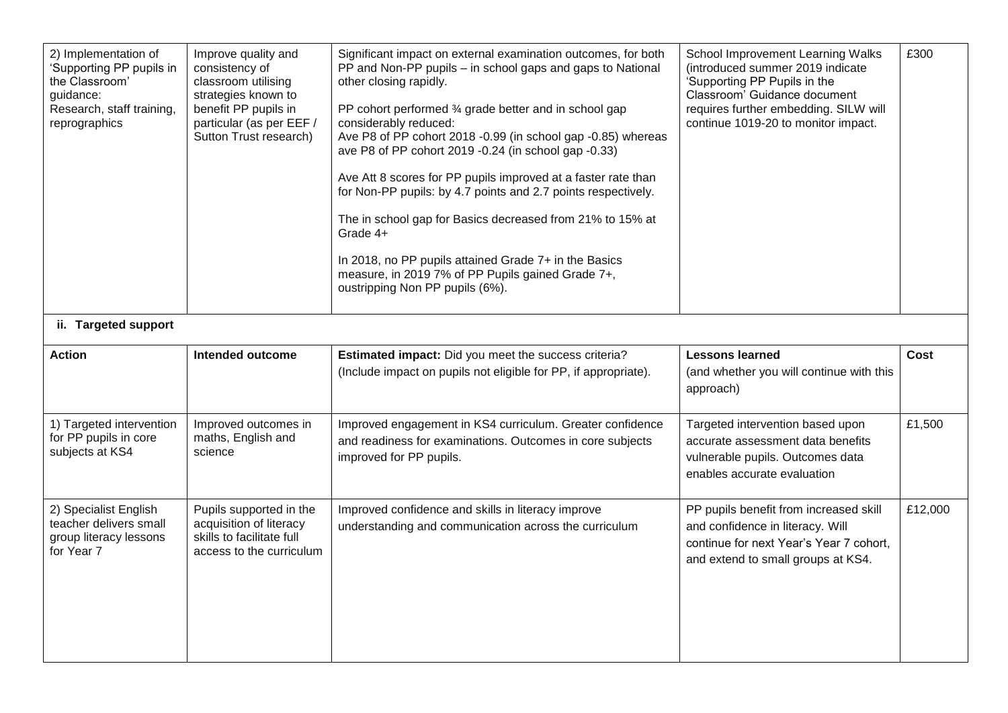| 2) Implementation of<br>'Supporting PP pupils in<br>the Classroom'<br>guidance:<br>Research, staff training,<br>reprographics | Improve quality and<br>consistency of<br>classroom utilising<br>strategies known to<br>benefit PP pupils in<br>particular (as per EEF /<br>Sutton Trust research) | Significant impact on external examination outcomes, for both<br>PP and Non-PP pupils - in school gaps and gaps to National<br>other closing rapidly.<br>PP cohort performed 3⁄4 grade better and in school gap<br>considerably reduced:<br>Ave P8 of PP cohort 2018 -0.99 (in school gap -0.85) whereas<br>ave P8 of PP cohort 2019 -0.24 (in school gap -0.33)<br>Ave Att 8 scores for PP pupils improved at a faster rate than<br>for Non-PP pupils: by 4.7 points and 2.7 points respectively.<br>The in school gap for Basics decreased from 21% to 15% at<br>Grade 4+<br>In 2018, no PP pupils attained Grade 7+ in the Basics<br>measure, in 2019 7% of PP Pupils gained Grade 7+,<br>oustripping Non PP pupils (6%). | School Improvement Learning Walks<br>(introduced summer 2019 indicate<br>'Supporting PP Pupils in the<br>Classroom' Guidance document<br>requires further embedding. SILW will<br>continue 1019-20 to monitor impact. | £300        |
|-------------------------------------------------------------------------------------------------------------------------------|-------------------------------------------------------------------------------------------------------------------------------------------------------------------|------------------------------------------------------------------------------------------------------------------------------------------------------------------------------------------------------------------------------------------------------------------------------------------------------------------------------------------------------------------------------------------------------------------------------------------------------------------------------------------------------------------------------------------------------------------------------------------------------------------------------------------------------------------------------------------------------------------------------|-----------------------------------------------------------------------------------------------------------------------------------------------------------------------------------------------------------------------|-------------|
| ii. Targeted support                                                                                                          |                                                                                                                                                                   |                                                                                                                                                                                                                                                                                                                                                                                                                                                                                                                                                                                                                                                                                                                              |                                                                                                                                                                                                                       |             |
| <b>Action</b>                                                                                                                 | <b>Intended outcome</b>                                                                                                                                           | Estimated impact: Did you meet the success criteria?<br>(Include impact on pupils not eligible for PP, if appropriate).                                                                                                                                                                                                                                                                                                                                                                                                                                                                                                                                                                                                      | <b>Lessons learned</b><br>(and whether you will continue with this<br>approach)                                                                                                                                       | <b>Cost</b> |
| 1) Targeted intervention<br>for PP pupils in core<br>subjects at KS4                                                          | Improved outcomes in<br>maths, English and<br>science                                                                                                             | Improved engagement in KS4 curriculum. Greater confidence<br>and readiness for examinations. Outcomes in core subjects<br>improved for PP pupils.                                                                                                                                                                                                                                                                                                                                                                                                                                                                                                                                                                            | Targeted intervention based upon<br>accurate assessment data benefits<br>vulnerable pupils. Outcomes data<br>enables accurate evaluation                                                                              | £1,500      |
| 2) Specialist English<br>teacher delivers small<br>group literacy lessons<br>for Year 7                                       | Pupils supported in the<br>acquisition of literacy<br>skills to facilitate full                                                                                   | Improved confidence and skills in literacy improve<br>understanding and communication across the curriculum                                                                                                                                                                                                                                                                                                                                                                                                                                                                                                                                                                                                                  | PP pupils benefit from increased skill<br>and confidence in literacy. Will<br>continue for next Year's Year 7 cohort,                                                                                                 | £12,000     |